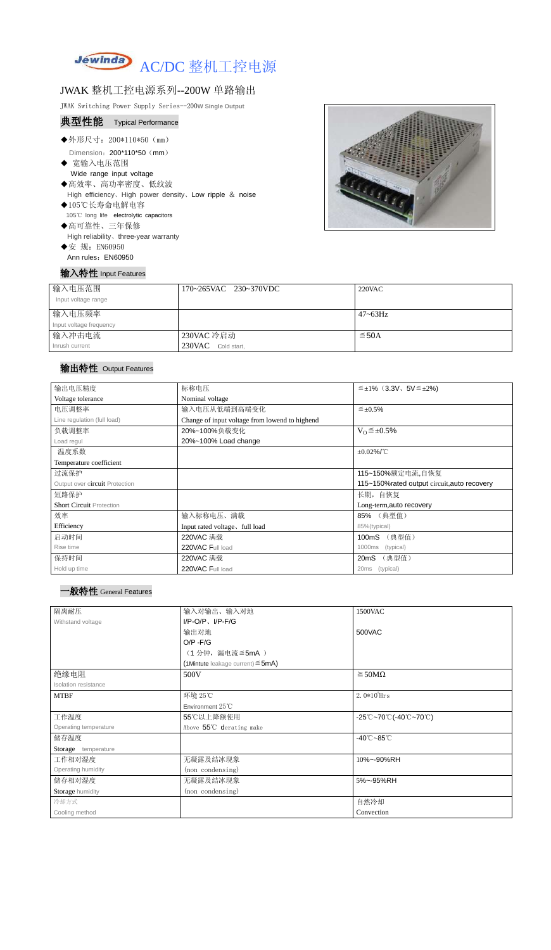

### JWAK 整机工控电源系列--200W 单路输出

JWAK Switching Power Supply Series--200**W Single Output**

# 典型性能 Typical Performance

- ◆外形尺寸: 200\*110\*50 (mm) Dimension: 200\*110\*50 (mm)
- ◆ 宽输入电压范围 Wide range input voltage ◆高效率、高功率密度、低纹波
- High efficiency、High power density、Low ripple & noise
- ◆105℃长寿命电解电容 105℃ long life electrolytic capacitors ◆高可靠性、三年保修
- High reliability、three-year warranty
- ◆安 规: EN60950 Ann rules: EN60950

# 输入特性 Input Features



| 输入电压范围<br>Input voltage range | 170~265VAC 230~370VDC | $220$ VAC    |
|-------------------------------|-----------------------|--------------|
| 输入电压频率                        |                       | $47 - 63$ Hz |
| Input voltage frequency       |                       |              |
| 输入冲击电流                        | 230VAC 冷启动            | $\leq$ 50A   |
| Inrush current                | 230VAC Cold start,    |              |

#### 输出特性 Output Features



| 输出电压精度                          | 标称电压                                           | $\leq \pm 1\%$ (3.3V, 5V $\leq \pm 2\%$ ) |  |
|---------------------------------|------------------------------------------------|-------------------------------------------|--|
| Voltage tolerance               | Nominal voltage                                |                                           |  |
| 电压调整率                           | 输入电压从低端到高端变化                                   | $\leq \pm 0.5\%$                          |  |
| Line regulation (full load)     | Change of input voltage from lowend to highend |                                           |  |
| 负载调整率                           | $V_0 \leq \pm 0.5\%$<br>20%~100%负载变化           |                                           |  |
| Load regul                      | 20%~100% Load change                           |                                           |  |
| 温度系数                            | $\pm 0.02\%$ /°C                               |                                           |  |
| Temperature coefficient         |                                                |                                           |  |
| 过流保护                            | 115~150%额定电流,自恢复                               |                                           |  |
| Output over circuit Protection  | 115~150% rated output circuit, auto recovery   |                                           |  |
| 短路保护                            |                                                | 长期, 自恢复                                   |  |
| <b>Short Circuit Protection</b> |                                                | Long-term, auto recovery                  |  |
| 效率                              | 输入标称电压、满载                                      | 85% (典型值)                                 |  |
| Efficiency                      | Input rated voltage, full load                 | 85%(typical)                              |  |
| 启动时间                            | 220VAC 满载                                      | (典型值)<br>100mS                            |  |
| Rise time                       | 220VAC Full load                               | 1000ms<br>(typical)                       |  |
| 保持时间                            | 220VAC 满载                                      | (典型值)<br>20mS                             |  |
| Hold up time                    | 220VAC Full load                               | 20ms<br>(typical)                         |  |

| 隔离耐压                  | 输入对输出、输入对地                             | 1500VAC                                                                                       |
|-----------------------|----------------------------------------|-----------------------------------------------------------------------------------------------|
| Withstand voltage     | $I/P$ -O/P, $I/P$ -F/G                 |                                                                                               |
|                       | 输出对地                                   | 500VAC                                                                                        |
|                       | $O/P - F/G$                            |                                                                                               |
|                       | (1分钟,漏电流≦5mA)                          |                                                                                               |
|                       | (1Mintute leakage current) $\leq$ 5mA) |                                                                                               |
| 绝缘电阻                  | 500V                                   | $\geq$ 50M $\Omega$                                                                           |
| Isolation resistance  |                                        |                                                                                               |
| <b>MTBF</b>           | 环境 25℃                                 | $2.0*105$ Hrs                                                                                 |
|                       | Environment 25°C                       |                                                                                               |
| 工作温度                  | 55℃以上降额使用                              | $-25^{\circ}\text{C}$ ~70 $^{\circ}\text{C}$ (-40 $^{\circ}\text{C}$ ~70 $^{\circ}\text{C}$ ) |
| Operating temperature | Above 55°C derating make               |                                                                                               |
| 储存温度                  |                                        | $-40^{\circ}$ C $-85^{\circ}$ C                                                               |
| Storage temperature   |                                        |                                                                                               |
| 工作相对湿度                | 无凝露及结冰现象                               | 10%~-90%RH                                                                                    |
| Operating humidity    | (non condensing)                       |                                                                                               |
| 储存相对湿度                | 无凝露及结冰现象                               | 5%~-95%RH                                                                                     |
| Storage humidity      | (non condensing)                       |                                                                                               |
| 冷却方式                  |                                        | 自然冷却                                                                                          |
| Cooling method        |                                        | Convection                                                                                    |